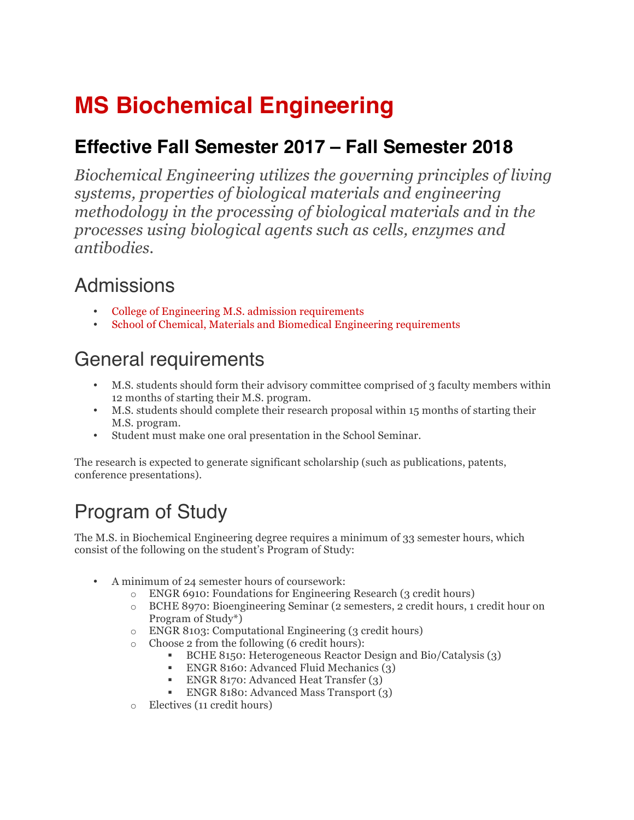# **MS Biochemical Engineering**

#### **Effective Fall Semester 2017 – Fall Semester 2018**

*Biochemical Engineering utilizes the governing principles of living systems, properties of biological materials and engineering methodology in the processing of biological materials and in the processes using biological agents such as cells, enzymes and antibodies.*

### Admissions

- College of Engineering M.S. admission requirements
- School of Chemical, Materials and Biomedical Engineering requirements

## General requirements

- M.S. students should form their advisory committee comprised of 3 faculty members within 12 months of starting their M.S. program.
- M.S. students should complete their research proposal within 15 months of starting their M.S. program.
- Student must make one oral presentation in the School Seminar.

The research is expected to generate significant scholarship (such as publications, patents, conference presentations).

## Program of Study

The M.S. in Biochemical Engineering degree requires a minimum of 33 semester hours, which consist of the following on the student's Program of Study:

- A minimum of 24 semester hours of coursework:
	- o ENGR 6910: Foundations for Engineering Research (3 credit hours)
		- o BCHE 8970: Bioengineering Seminar (2 semesters, 2 credit hours, 1 credit hour on Program of Study\*)
		- o ENGR 8103: Computational Engineering (3 credit hours)
		- o Choose 2 from the following (6 credit hours):
			- § BCHE 8150: Heterogeneous Reactor Design and Bio/Catalysis (3)
			- ENGR 8160: Advanced Fluid Mechanics (3)
			- ENGR 8170: Advanced Heat Transfer (3)
			- § ENGR 8180: Advanced Mass Transport (3)
	- o Electives (11 credit hours)